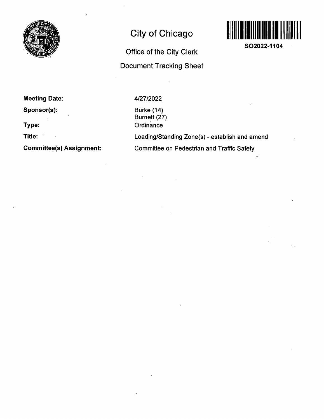

# **City of Chicago**



**SO2022-1104** 

## **Office of the City Clerk Document Tracking Sheet**

**Meeting Date:** 

**Sponsor(s):** 

**Type:** 

**Title:** 

**Committee(s) Assignment:** 

4/27/2022

Burke (14) Burnett (27) **Ordinance** 

Loading/Standing Zone(s) - establish and amend Committee on Pedestrian and Traffic Safety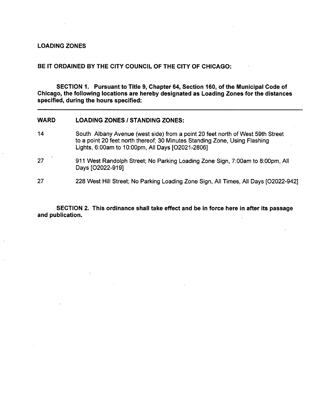## **LOADING ZONES**

#### **BE IT ORDAINED BY THE CITY COUNCIL OF THE CITY OF CHICAGO:**

**SECTION 1. Pursuant to Title 9, Chapter 64, Section 160, of the Municipal Code of Chicago, the following locations are hereby designated as Loading Zones for the distances specified, during the hours specified:** 

### **WARD LOADING ZONES / STANDING ZONES:**

- 14 South Albany Avenue (west side) from a point 20 feet north of West 59th Street to a point 20 feet north thereof; 30 Minutes Standing Zone, Using Flashing Lights, 6:00am to 10:00pm, All Days [02021-2806]
- 27 911 West Randolph Street; No Parking Loading Zone Sign, 7:00am to 8:00pm, All Days [02022-919]

27 228 West Hill Street; No Parking Loading Zone Sign, All Times, All Days [02022-942]

**SECTION 2. This ordinance shall take effect and be in force here in after its passage and publication.**